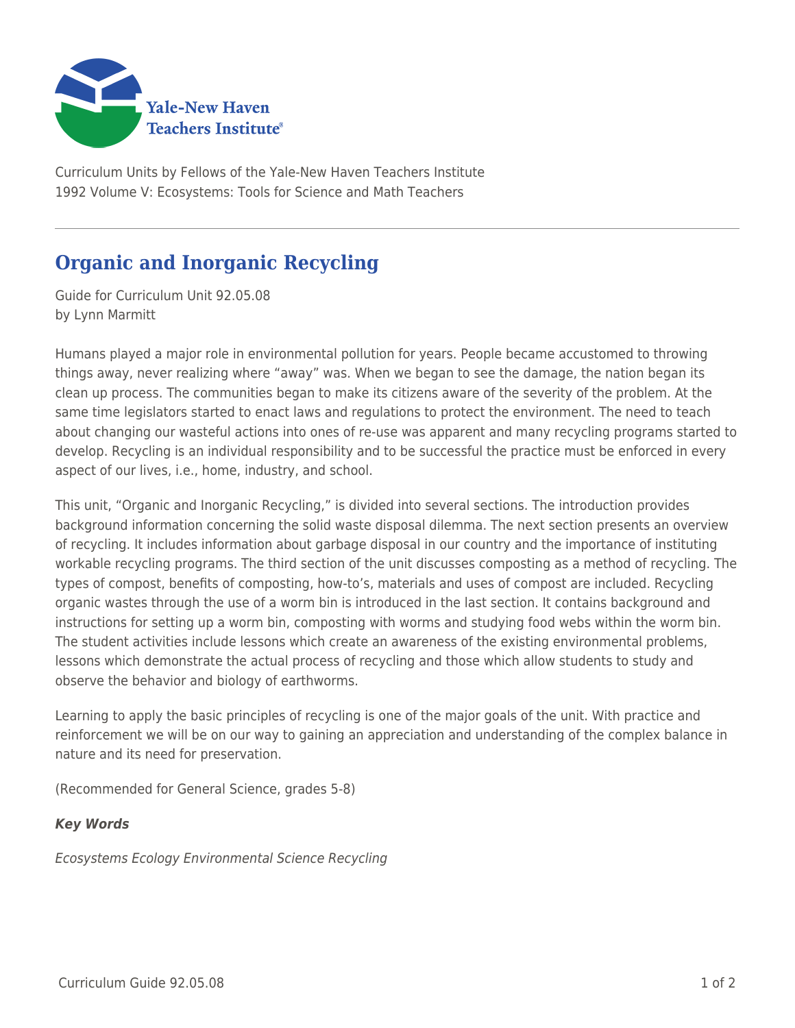

Curriculum Units by Fellows of the Yale-New Haven Teachers Institute 1992 Volume V: Ecosystems: Tools for Science and Math Teachers

## **Organic and Inorganic Recycling**

Guide for Curriculum Unit 92.05.08 by Lynn Marmitt

Humans played a major role in environmental pollution for years. People became accustomed to throwing things away, never realizing where "away" was. When we began to see the damage, the nation began its clean up process. The communities began to make its citizens aware of the severity of the problem. At the same time legislators started to enact laws and regulations to protect the environment. The need to teach about changing our wasteful actions into ones of re-use was apparent and many recycling programs started to develop. Recycling is an individual responsibility and to be successful the practice must be enforced in every aspect of our lives, i.e., home, industry, and school.

This unit, "Organic and Inorganic Recycling," is divided into several sections. The introduction provides background information concerning the solid waste disposal dilemma. The next section presents an overview of recycling. It includes information about garbage disposal in our country and the importance of instituting workable recycling programs. The third section of the unit discusses composting as a method of recycling. The types of compost, benefits of composting, how-to's, materials and uses of compost are included. Recycling organic wastes through the use of a worm bin is introduced in the last section. It contains background and instructions for setting up a worm bin, composting with worms and studying food webs within the worm bin. The student activities include lessons which create an awareness of the existing environmental problems, lessons which demonstrate the actual process of recycling and those which allow students to study and observe the behavior and biology of earthworms.

Learning to apply the basic principles of recycling is one of the major goals of the unit. With practice and reinforcement we will be on our way to gaining an appreciation and understanding of the complex balance in nature and its need for preservation.

(Recommended for General Science, grades 5-8)

## *Key Words*

Ecosystems Ecology Environmental Science Recycling